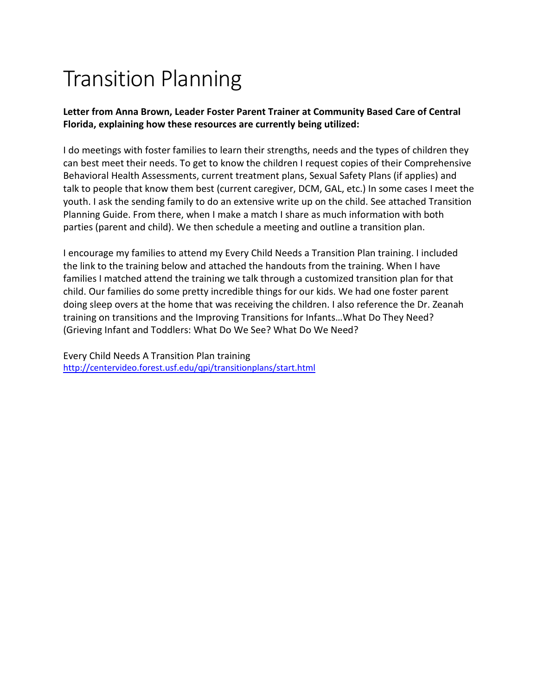# Transition Planning

#### **Letter from Anna Brown, Leader Foster Parent Trainer at Community Based Care of Central Florida, explaining how these resources are currently being utilized:**

I do meetings with foster families to learn their strengths, needs and the types of children they can best meet their needs. To get to know the children I request copies of their Comprehensive Behavioral Health Assessments, current treatment plans, Sexual Safety Plans (if applies) and talk to people that know them best (current caregiver, DCM, GAL, etc.) In some cases I meet the youth. I ask the sending family to do an extensive write up on the child. See attached Transition Planning Guide. From there, when I make a match I share as much information with both parties (parent and child). We then schedule a meeting and outline a transition plan.

I encourage my families to attend my Every Child Needs a Transition Plan training. I included the link to the training below and attached the handouts from the training. When I have families I matched attend the training we talk through a customized transition plan for that child. Our families do some pretty incredible things for our kids. We had one foster parent doing sleep overs at the home that was receiving the children. I also reference the Dr. Zeanah training on transitions and the Improving Transitions for Infants…What Do They Need? (Grieving Infant and Toddlers: What Do We See? What Do We Need?

Every Child Needs A Transition Plan training <http://centervideo.forest.usf.edu/qpi/transitionplans/start.html>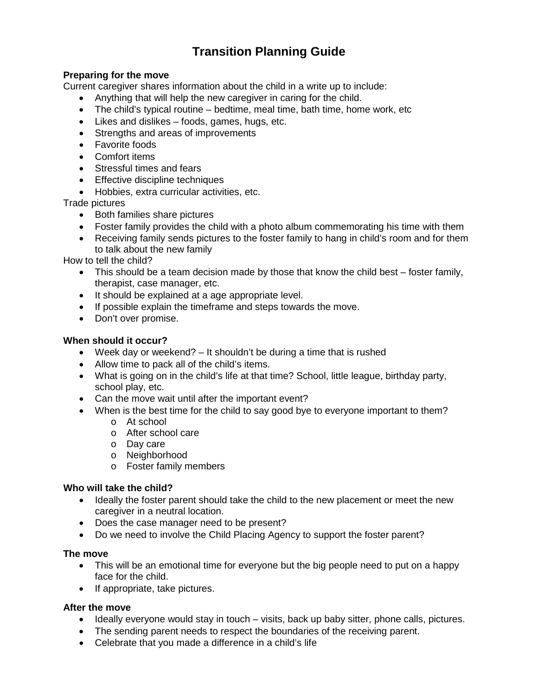## **Transition Planning Guide**

#### **Preparing for the move**

Current caregiver shares information about the child in a write up to include:

- Anything that will help the new caregiver in caring for the child.
- The child's typical routine bedtime, meal time, bath time, home work, etc
- Likes and dislikes foods, games, hugs, etc.
- Strengths and areas of improvements
- Favorite foods
- Comfort items
- Stressful times and fears
- Effective discipline techniques
- Hobbies, extra curricular activities, etc.

Trade pictures

- Both families share pictures
- Foster family provides the child with a photo album commemorating his time with them
- Receiving family sends pictures to the foster family to hang in child's room and for them to talk about the new family

How to tell the child?

- This should be a team decision made by those that know the child best foster family, therapist, case manager, etc.
- It should be explained at a age appropriate level.
- If possible explain the timeframe and steps towards the move.
- Don't over promise.

#### **When should it occur?**

- Week day or weekend? It shouldn't be during a time that is rushed
- Allow time to pack all of the child's items.
- What is going on in the child's life at that time? School, little league, birthday party, school play, etc.
- Can the move wait until after the important event?
- When is the best time for the child to say good bye to everyone important to them?
	- o At school
	- o After school care
	- o Day care
	- o Neighborhood
	- o Foster family members

#### **Who will take the child?**

- Ideally the foster parent should take the child to the new placement or meet the new caregiver in a neutral location.
- Does the case manager need to be present?
- Do we need to involve the Child Placing Agency to support the foster parent?

#### **The move**

- This will be an emotional time for everyone but the big people need to put on a happy face for the child.
- If appropriate, take pictures.

#### **After the move**

- Ideally everyone would stay in touch visits, back up baby sitter, phone calls, pictures.
- The sending parent needs to respect the boundaries of the receiving parent.
- Celebrate that you made a difference in a child's life